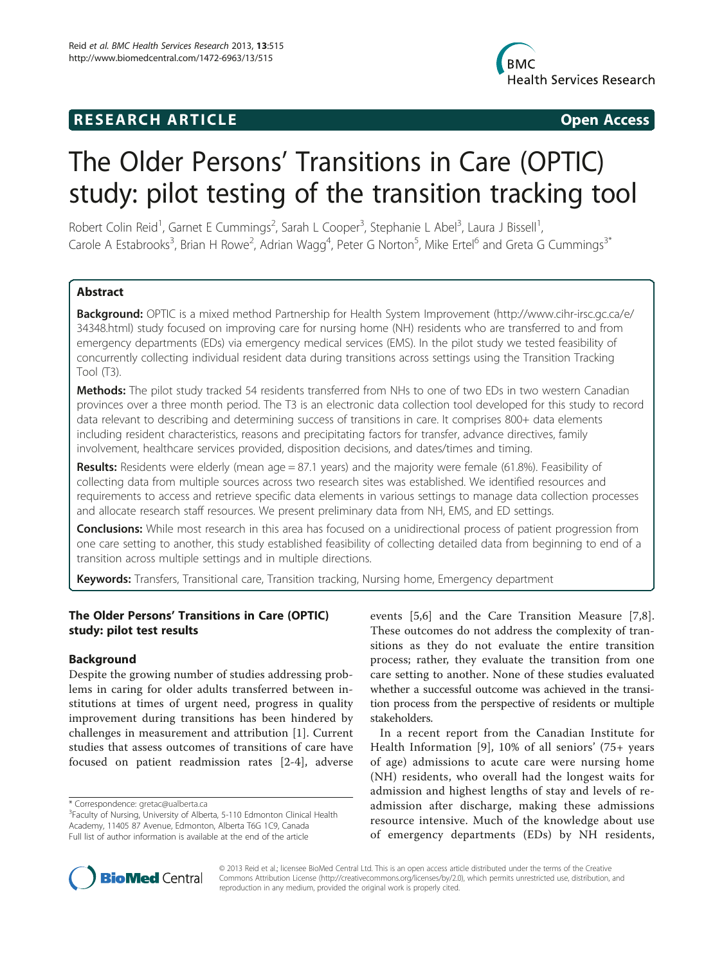## **RESEARCH ARTICLE Example 2018 Open Access**



# The Older Persons' Transitions in Care (OPTIC) study: pilot testing of the transition tracking tool

Robert Colin Reid<sup>1</sup>, Garnet E Cummings<sup>2</sup>, Sarah L Cooper<sup>3</sup>, Stephanie L Abel<sup>3</sup>, Laura J Bissell<sup>1</sup> , Carole A Estabrooks<sup>3</sup>, Brian H Rowe<sup>2</sup>, Adrian Wagg<sup>4</sup>, Peter G Norton<sup>5</sup>, Mike Ertel<sup>6</sup> and Greta G Cummings<sup>3\*</sup>

## **Abstract**

Background: OPTIC is a mixed method Partnership for Health System Improvement ([http://www.cihr-irsc.gc.ca/e/](http://www.cihr-irsc.gc.ca/e/34348.html) [34348.html](http://www.cihr-irsc.gc.ca/e/34348.html)) study focused on improving care for nursing home (NH) residents who are transferred to and from emergency departments (EDs) via emergency medical services (EMS). In the pilot study we tested feasibility of concurrently collecting individual resident data during transitions across settings using the Transition Tracking Tool (T3).

Methods: The pilot study tracked 54 residents transferred from NHs to one of two EDs in two western Canadian provinces over a three month period. The T3 is an electronic data collection tool developed for this study to record data relevant to describing and determining success of transitions in care. It comprises 800+ data elements including resident characteristics, reasons and precipitating factors for transfer, advance directives, family involvement, healthcare services provided, disposition decisions, and dates/times and timing.

Results: Residents were elderly (mean age = 87.1 years) and the majority were female (61.8%). Feasibility of collecting data from multiple sources across two research sites was established. We identified resources and requirements to access and retrieve specific data elements in various settings to manage data collection processes and allocate research staff resources. We present preliminary data from NH, EMS, and ED settings.

**Conclusions:** While most research in this area has focused on a unidirectional process of patient progression from one care setting to another, this study established feasibility of collecting detailed data from beginning to end of a transition across multiple settings and in multiple directions.

Keywords: Transfers, Transitional care, Transition tracking, Nursing home, Emergency department

## The Older Persons' Transitions in Care (OPTIC) study: pilot test results

## **Background**

Despite the growing number of studies addressing problems in caring for older adults transferred between institutions at times of urgent need, progress in quality improvement during transitions has been hindered by challenges in measurement and attribution [[1\]](#page-9-0). Current studies that assess outcomes of transitions of care have focused on patient readmission rates [[2-4\]](#page-9-0), adverse

\* Correspondence: [gretac@ualberta.ca](mailto:gretac@ualberta.ca) <sup>3</sup>

events [\[5](#page-9-0),[6\]](#page-9-0) and the Care Transition Measure [[7,8](#page-9-0)]. These outcomes do not address the complexity of transitions as they do not evaluate the entire transition process; rather, they evaluate the transition from one care setting to another. None of these studies evaluated whether a successful outcome was achieved in the transition process from the perspective of residents or multiple stakeholders.

In a recent report from the Canadian Institute for Health Information [[9\]](#page-9-0), 10% of all seniors' (75+ years of age) admissions to acute care were nursing home (NH) residents, who overall had the longest waits for admission and highest lengths of stay and levels of readmission after discharge, making these admissions resource intensive. Much of the knowledge about use of emergency departments (EDs) by NH residents,



© 2013 Reid et al.; licensee BioMed Central Ltd. This is an open access article distributed under the terms of the Creative Commons Attribution License [\(http://creativecommons.org/licenses/by/2.0\)](http://creativecommons.org/licenses/by/2.0), which permits unrestricted use, distribution, and reproduction in any medium, provided the original work is properly cited.

<sup>&</sup>lt;sup>3</sup>Faculty of Nursing, University of Alberta, 5-110 Edmonton Clinical Health Academy, 11405 87 Avenue, Edmonton, Alberta T6G 1C9, Canada Full list of author information is available at the end of the article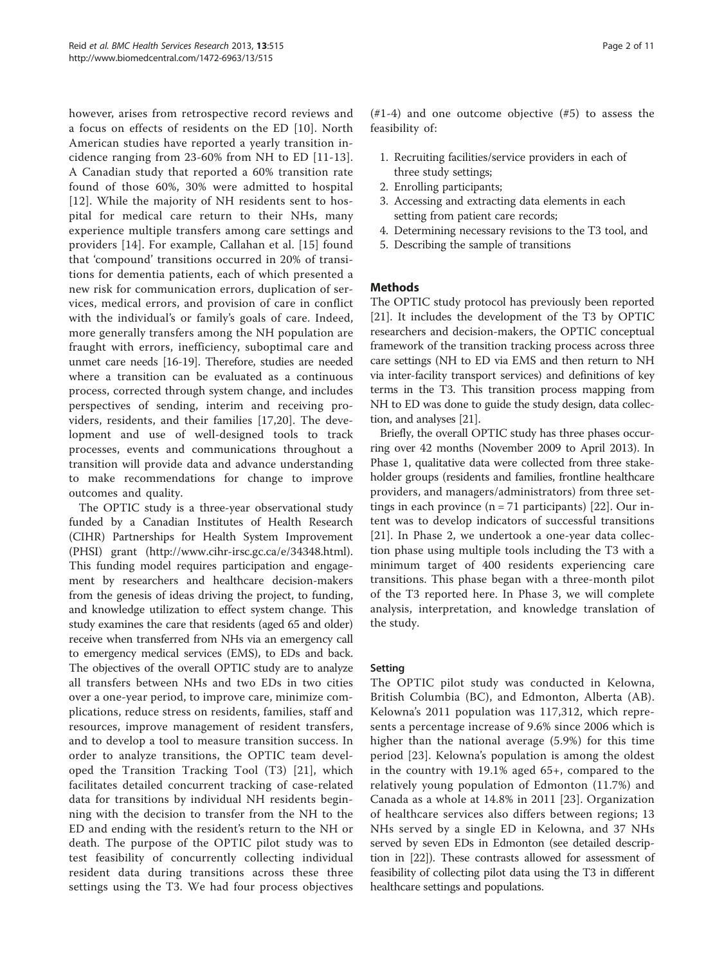however, arises from retrospective record reviews and a focus on effects of residents on the ED [[10](#page-9-0)]. North American studies have reported a yearly transition incidence ranging from 23-60% from NH to ED [[11](#page-9-0)-[13](#page-9-0)]. A Canadian study that reported a 60% transition rate found of those 60%, 30% were admitted to hospital [[12](#page-9-0)]. While the majority of NH residents sent to hospital for medical care return to their NHs, many experience multiple transfers among care settings and providers [[14](#page-9-0)]. For example, Callahan et al. [[15](#page-9-0)] found that 'compound' transitions occurred in 20% of transitions for dementia patients, each of which presented a new risk for communication errors, duplication of services, medical errors, and provision of care in conflict with the individual's or family's goals of care. Indeed, more generally transfers among the NH population are fraught with errors, inefficiency, suboptimal care and unmet care needs [\[16-19\]](#page-9-0). Therefore, studies are needed where a transition can be evaluated as a continuous process, corrected through system change, and includes perspectives of sending, interim and receiving providers, residents, and their families [\[17](#page-9-0),[20](#page-9-0)]. The development and use of well-designed tools to track processes, events and communications throughout a transition will provide data and advance understanding to make recommendations for change to improve outcomes and quality.

The OPTIC study is a three-year observational study funded by a Canadian Institutes of Health Research (CIHR) Partnerships for Health System Improvement (PHSI) grant (<http://www.cihr-irsc.gc.ca/e/34348.html>). This funding model requires participation and engagement by researchers and healthcare decision-makers from the genesis of ideas driving the project, to funding, and knowledge utilization to effect system change. This study examines the care that residents (aged 65 and older) receive when transferred from NHs via an emergency call to emergency medical services (EMS), to EDs and back. The objectives of the overall OPTIC study are to analyze all transfers between NHs and two EDs in two cities over a one-year period, to improve care, minimize complications, reduce stress on residents, families, staff and resources, improve management of resident transfers, and to develop a tool to measure transition success. In order to analyze transitions, the OPTIC team developed the Transition Tracking Tool (T3) [[21\]](#page-9-0), which facilitates detailed concurrent tracking of case-related data for transitions by individual NH residents beginning with the decision to transfer from the NH to the ED and ending with the resident's return to the NH or death. The purpose of the OPTIC pilot study was to test feasibility of concurrently collecting individual resident data during transitions across these three settings using the T3. We had four process objectives  $(41-4)$  and one outcome objective  $(45)$  to assess the feasibility of:

- 1. Recruiting facilities/service providers in each of three study settings;
- 2. Enrolling participants;
- 3. Accessing and extracting data elements in each setting from patient care records;
- 4. Determining necessary revisions to the T3 tool, and
- 5. Describing the sample of transitions

## Methods

The OPTIC study protocol has previously been reported [[21\]](#page-9-0). It includes the development of the T3 by OPTIC researchers and decision-makers, the OPTIC conceptual framework of the transition tracking process across three care settings (NH to ED via EMS and then return to NH via inter-facility transport services) and definitions of key terms in the T3. This transition process mapping from NH to ED was done to guide the study design, data collection, and analyses [[21](#page-9-0)].

Briefly, the overall OPTIC study has three phases occurring over 42 months (November 2009 to April 2013). In Phase 1, qualitative data were collected from three stakeholder groups (residents and families, frontline healthcare providers, and managers/administrators) from three settings in each province  $(n = 71$  participants) [[22\]](#page-9-0). Our intent was to develop indicators of successful transitions [[21\]](#page-9-0). In Phase 2, we undertook a one-year data collection phase using multiple tools including the T3 with a minimum target of 400 residents experiencing care transitions. This phase began with a three-month pilot of the T3 reported here. In Phase 3, we will complete analysis, interpretation, and knowledge translation of the study.

## Setting

The OPTIC pilot study was conducted in Kelowna, British Columbia (BC), and Edmonton, Alberta (AB). Kelowna's 2011 population was 117,312, which represents a percentage increase of 9.6% since 2006 which is higher than the national average (5.9%) for this time period [[23](#page-10-0)]. Kelowna's population is among the oldest in the country with 19.1% aged 65+, compared to the relatively young population of Edmonton (11.7%) and Canada as a whole at 14.8% in 2011 [[23](#page-10-0)]. Organization of healthcare services also differs between regions; 13 NHs served by a single ED in Kelowna, and 37 NHs served by seven EDs in Edmonton (see detailed description in [\[22\]](#page-9-0)). These contrasts allowed for assessment of feasibility of collecting pilot data using the T3 in different healthcare settings and populations.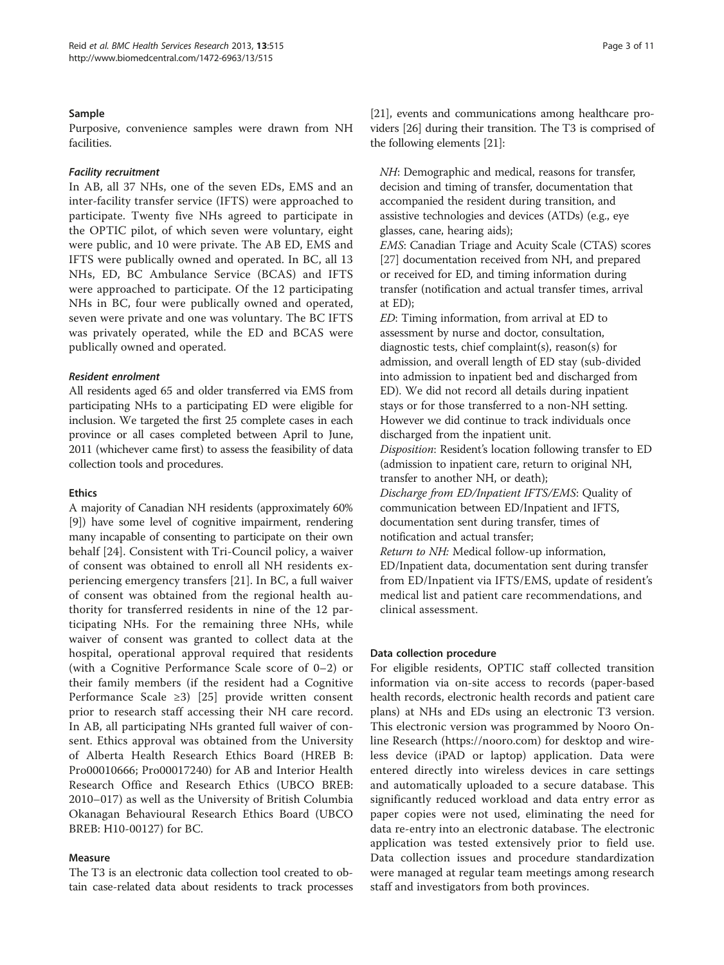## Sample

Purposive, convenience samples were drawn from NH facilities.

## Facility recruitment

In AB, all 37 NHs, one of the seven EDs, EMS and an inter-facility transfer service (IFTS) were approached to participate. Twenty five NHs agreed to participate in the OPTIC pilot, of which seven were voluntary, eight were public, and 10 were private. The AB ED, EMS and IFTS were publically owned and operated. In BC, all 13 NHs, ED, BC Ambulance Service (BCAS) and IFTS were approached to participate. Of the 12 participating NHs in BC, four were publically owned and operated, seven were private and one was voluntary. The BC IFTS was privately operated, while the ED and BCAS were publically owned and operated.

## Resident enrolment

All residents aged 65 and older transferred via EMS from participating NHs to a participating ED were eligible for inclusion. We targeted the first 25 complete cases in each province or all cases completed between April to June, 2011 (whichever came first) to assess the feasibility of data collection tools and procedures.

#### Ethics

A majority of Canadian NH residents (approximately 60% [[9\]](#page-9-0)) have some level of cognitive impairment, rendering many incapable of consenting to participate on their own behalf [[24](#page-10-0)]. Consistent with Tri-Council policy, a waiver of consent was obtained to enroll all NH residents experiencing emergency transfers [[21\]](#page-9-0). In BC, a full waiver of consent was obtained from the regional health authority for transferred residents in nine of the 12 participating NHs. For the remaining three NHs, while waiver of consent was granted to collect data at the hospital, operational approval required that residents (with a Cognitive Performance Scale score of 0–2) or their family members (if the resident had a Cognitive Performance Scale ≥3) [[25](#page-10-0)] provide written consent prior to research staff accessing their NH care record. In AB, all participating NHs granted full waiver of consent. Ethics approval was obtained from the University of Alberta Health Research Ethics Board (HREB B: Pro00010666; Pro00017240) for AB and Interior Health Research Office and Research Ethics (UBCO BREB: 2010–017) as well as the University of British Columbia Okanagan Behavioural Research Ethics Board (UBCO BREB: H10-00127) for BC.

## Measure

The T3 is an electronic data collection tool created to obtain case-related data about residents to track processes [[21](#page-9-0)], events and communications among healthcare providers [\[26\]](#page-10-0) during their transition. The T3 is comprised of the following elements [[21](#page-9-0)]:

NH: Demographic and medical, reasons for transfer, decision and timing of transfer, documentation that accompanied the resident during transition, and assistive technologies and devices (ATDs) (e.g., eye glasses, cane, hearing aids);

EMS: Canadian Triage and Acuity Scale (CTAS) scores [[27\]](#page-10-0) documentation received from NH, and prepared or received for ED, and timing information during transfer (notification and actual transfer times, arrival at ED);

ED: Timing information, from arrival at ED to assessment by nurse and doctor, consultation, diagnostic tests, chief complaint(s), reason(s) for admission, and overall length of ED stay (sub-divided into admission to inpatient bed and discharged from ED). We did not record all details during inpatient stays or for those transferred to a non-NH setting. However we did continue to track individuals once discharged from the inpatient unit. Disposition: Resident's location following transfer to ED (admission to inpatient care, return to original NH, transfer to another NH, or death); Discharge from ED/Inpatient IFTS/EMS: Quality of communication between ED/Inpatient and IFTS, documentation sent during transfer, times of notification and actual transfer; Return to NH: Medical follow-up information, ED/Inpatient data, documentation sent during transfer from ED/Inpatient via IFTS/EMS, update of resident's medical list and patient care recommendations, and clinical assessment.

#### Data collection procedure

For eligible residents, OPTIC staff collected transition information via on-site access to records (paper-based health records, electronic health records and patient care plans) at NHs and EDs using an electronic T3 version. This electronic version was programmed by Nooro Online Research [\(https://nooro.com](https://nooro.com)) for desktop and wireless device (iPAD or laptop) application. Data were entered directly into wireless devices in care settings and automatically uploaded to a secure database. This significantly reduced workload and data entry error as paper copies were not used, eliminating the need for data re-entry into an electronic database. The electronic application was tested extensively prior to field use. Data collection issues and procedure standardization were managed at regular team meetings among research staff and investigators from both provinces.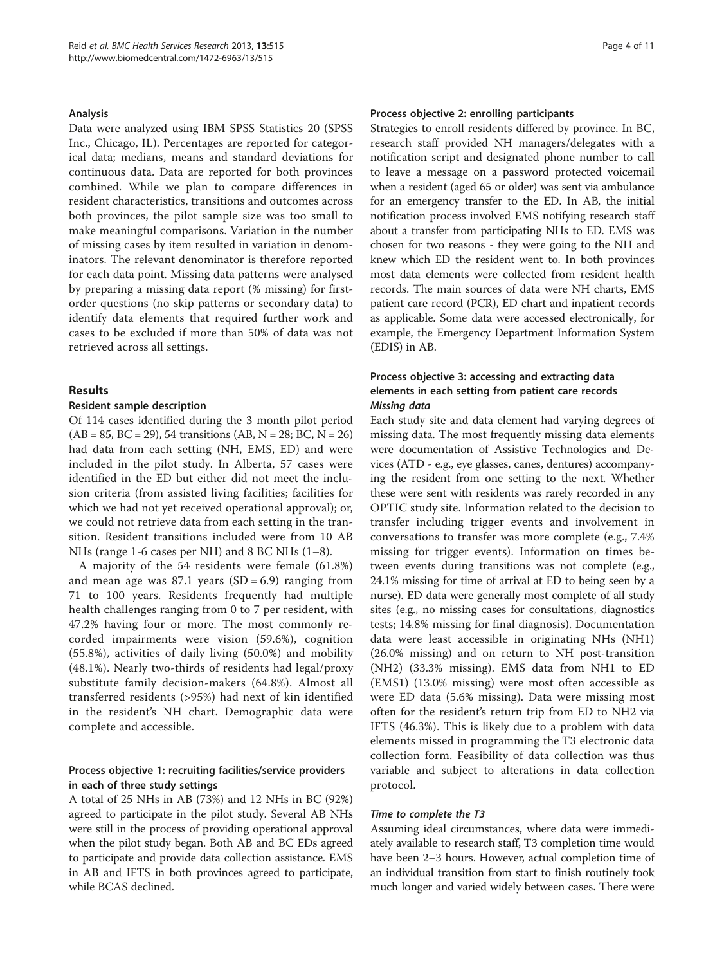#### Analysis

Data were analyzed using IBM SPSS Statistics 20 (SPSS Inc., Chicago, IL). Percentages are reported for categorical data; medians, means and standard deviations for continuous data. Data are reported for both provinces combined. While we plan to compare differences in resident characteristics, transitions and outcomes across both provinces, the pilot sample size was too small to make meaningful comparisons. Variation in the number of missing cases by item resulted in variation in denominators. The relevant denominator is therefore reported for each data point. Missing data patterns were analysed by preparing a missing data report (% missing) for firstorder questions (no skip patterns or secondary data) to identify data elements that required further work and cases to be excluded if more than 50% of data was not retrieved across all settings.

## Results

#### Resident sample description

Of 114 cases identified during the 3 month pilot period  $(AB = 85, BC = 29), 54$  transitions  $(AB, N = 28; BC, N = 26)$ had data from each setting (NH, EMS, ED) and were included in the pilot study. In Alberta, 57 cases were identified in the ED but either did not meet the inclusion criteria (from assisted living facilities; facilities for which we had not yet received operational approval); or, we could not retrieve data from each setting in the transition. Resident transitions included were from 10 AB NHs (range 1-6 cases per NH) and 8 BC NHs (1–8).

A majority of the 54 residents were female (61.8%) and mean age was  $87.1$  years  $(SD = 6.9)$  ranging from 71 to 100 years. Residents frequently had multiple health challenges ranging from 0 to 7 per resident, with 47.2% having four or more. The most commonly recorded impairments were vision (59.6%), cognition (55.8%), activities of daily living (50.0%) and mobility (48.1%). Nearly two-thirds of residents had legal/proxy substitute family decision-makers (64.8%). Almost all transferred residents (>95%) had next of kin identified in the resident's NH chart. Demographic data were complete and accessible.

## Process objective 1: recruiting facilities/service providers in each of three study settings

A total of 25 NHs in AB (73%) and 12 NHs in BC (92%) agreed to participate in the pilot study. Several AB NHs were still in the process of providing operational approval when the pilot study began. Both AB and BC EDs agreed to participate and provide data collection assistance. EMS in AB and IFTS in both provinces agreed to participate, while BCAS declined.

## Process objective 2: enrolling participants

Strategies to enroll residents differed by province. In BC, research staff provided NH managers/delegates with a notification script and designated phone number to call to leave a message on a password protected voicemail when a resident (aged 65 or older) was sent via ambulance for an emergency transfer to the ED. In AB, the initial notification process involved EMS notifying research staff about a transfer from participating NHs to ED. EMS was chosen for two reasons - they were going to the NH and knew which ED the resident went to. In both provinces most data elements were collected from resident health records. The main sources of data were NH charts, EMS patient care record (PCR), ED chart and inpatient records as applicable. Some data were accessed electronically, for example, the Emergency Department Information System (EDIS) in AB.

## Process objective 3: accessing and extracting data elements in each setting from patient care records Missing data

Each study site and data element had varying degrees of missing data. The most frequently missing data elements were documentation of Assistive Technologies and Devices (ATD - e.g., eye glasses, canes, dentures) accompanying the resident from one setting to the next. Whether these were sent with residents was rarely recorded in any OPTIC study site. Information related to the decision to transfer including trigger events and involvement in conversations to transfer was more complete (e.g., 7.4% missing for trigger events). Information on times between events during transitions was not complete (e.g., 24.1% missing for time of arrival at ED to being seen by a nurse). ED data were generally most complete of all study sites (e.g., no missing cases for consultations, diagnostics tests; 14.8% missing for final diagnosis). Documentation data were least accessible in originating NHs (NH1) (26.0% missing) and on return to NH post-transition (NH2) (33.3% missing). EMS data from NH1 to ED (EMS1) (13.0% missing) were most often accessible as were ED data (5.6% missing). Data were missing most often for the resident's return trip from ED to NH2 via IFTS (46.3%). This is likely due to a problem with data elements missed in programming the T3 electronic data collection form. Feasibility of data collection was thus variable and subject to alterations in data collection protocol.

## Time to complete the T3

Assuming ideal circumstances, where data were immediately available to research staff, T3 completion time would have been 2–3 hours. However, actual completion time of an individual transition from start to finish routinely took much longer and varied widely between cases. There were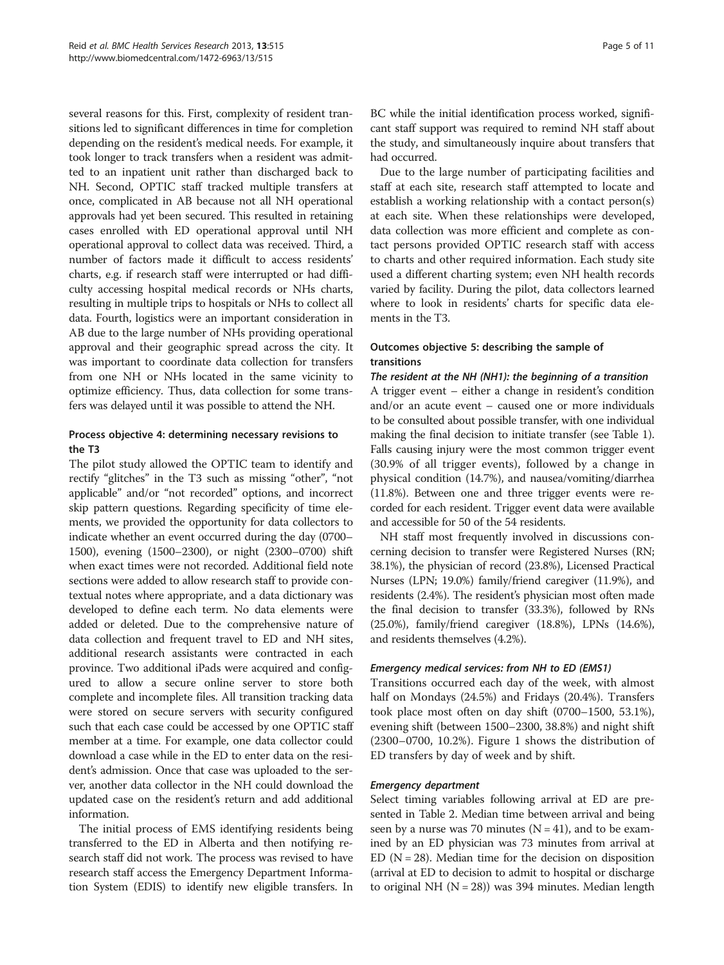several reasons for this. First, complexity of resident transitions led to significant differences in time for completion depending on the resident's medical needs. For example, it took longer to track transfers when a resident was admitted to an inpatient unit rather than discharged back to NH. Second, OPTIC staff tracked multiple transfers at once, complicated in AB because not all NH operational approvals had yet been secured. This resulted in retaining cases enrolled with ED operational approval until NH operational approval to collect data was received. Third, a number of factors made it difficult to access residents' charts, e.g. if research staff were interrupted or had difficulty accessing hospital medical records or NHs charts, resulting in multiple trips to hospitals or NHs to collect all data. Fourth, logistics were an important consideration in AB due to the large number of NHs providing operational approval and their geographic spread across the city. It was important to coordinate data collection for transfers from one NH or NHs located in the same vicinity to optimize efficiency. Thus, data collection for some transfers was delayed until it was possible to attend the NH.

## Process objective 4: determining necessary revisions to the T3

The pilot study allowed the OPTIC team to identify and rectify "glitches" in the T3 such as missing "other", "not applicable" and/or "not recorded" options, and incorrect skip pattern questions. Regarding specificity of time elements, we provided the opportunity for data collectors to indicate whether an event occurred during the day (0700– 1500), evening (1500–2300), or night (2300–0700) shift when exact times were not recorded. Additional field note sections were added to allow research staff to provide contextual notes where appropriate, and a data dictionary was developed to define each term. No data elements were added or deleted. Due to the comprehensive nature of data collection and frequent travel to ED and NH sites, additional research assistants were contracted in each province. Two additional iPads were acquired and configured to allow a secure online server to store both complete and incomplete files. All transition tracking data were stored on secure servers with security configured such that each case could be accessed by one OPTIC staff member at a time. For example, one data collector could download a case while in the ED to enter data on the resident's admission. Once that case was uploaded to the server, another data collector in the NH could download the updated case on the resident's return and add additional information.

The initial process of EMS identifying residents being transferred to the ED in Alberta and then notifying research staff did not work. The process was revised to have research staff access the Emergency Department Information System (EDIS) to identify new eligible transfers. In

BC while the initial identification process worked, significant staff support was required to remind NH staff about the study, and simultaneously inquire about transfers that had occurred.

Due to the large number of participating facilities and staff at each site, research staff attempted to locate and establish a working relationship with a contact person(s) at each site. When these relationships were developed, data collection was more efficient and complete as contact persons provided OPTIC research staff with access to charts and other required information. Each study site used a different charting system; even NH health records varied by facility. During the pilot, data collectors learned where to look in residents' charts for specific data elements in the T3.

## Outcomes objective 5: describing the sample of transitions

The resident at the NH (NH1): the beginning of a transition A trigger event – either a change in resident's condition and/or an acute event – caused one or more individuals to be consulted about possible transfer, with one individual making the final decision to initiate transfer (see Table [1](#page-5-0)). Falls causing injury were the most common trigger event (30.9% of all trigger events), followed by a change in physical condition (14.7%), and nausea/vomiting/diarrhea (11.8%). Between one and three trigger events were recorded for each resident. Trigger event data were available and accessible for 50 of the 54 residents.

NH staff most frequently involved in discussions concerning decision to transfer were Registered Nurses (RN; 38.1%), the physician of record (23.8%), Licensed Practical Nurses (LPN; 19.0%) family/friend caregiver (11.9%), and residents (2.4%). The resident's physician most often made the final decision to transfer (33.3%), followed by RNs (25.0%), family/friend caregiver (18.8%), LPNs (14.6%), and residents themselves (4.2%).

## Emergency medical services: from NH to ED (EMS1)

Transitions occurred each day of the week, with almost half on Mondays (24.5%) and Fridays (20.4%). Transfers took place most often on day shift (0700–1500, 53.1%), evening shift (between 1500–2300, 38.8%) and night shift (2300–0700, 10.2%). Figure [1](#page-6-0) shows the distribution of ED transfers by day of week and by shift.

## Emergency department

Select timing variables following arrival at ED are presented in Table [2](#page-6-0). Median time between arrival and being seen by a nurse was 70 minutes ( $N = 41$ ), and to be examined by an ED physician was 73 minutes from arrival at ED  $(N = 28)$ . Median time for the decision on disposition (arrival at ED to decision to admit to hospital or discharge to original NH  $(N = 28)$ ) was 394 minutes. Median length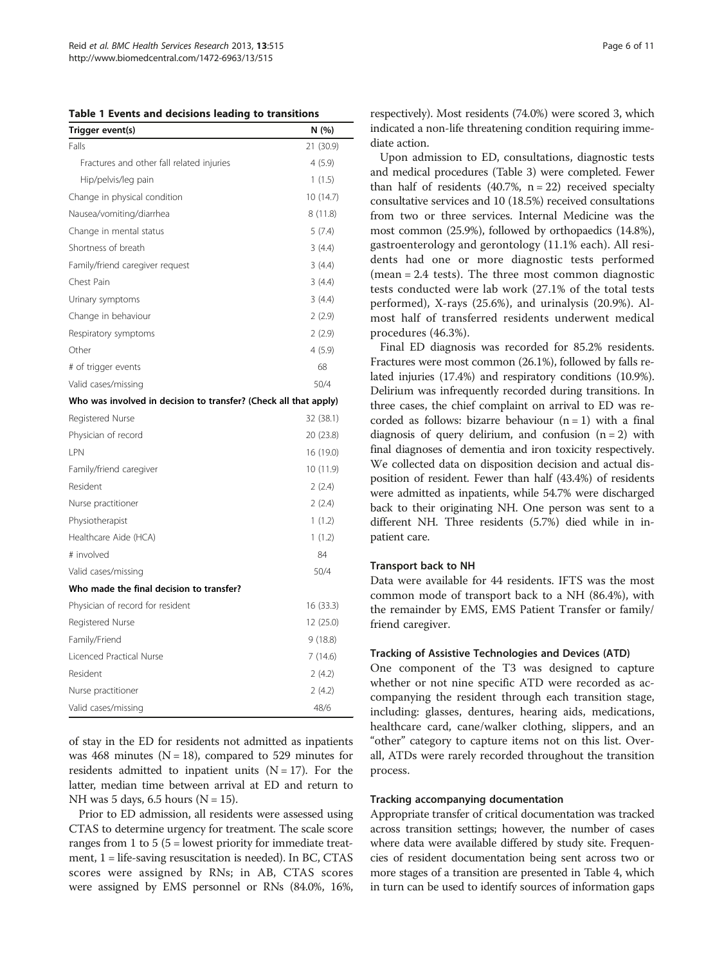<span id="page-5-0"></span>

|  |  |  |  |  |  | Table 1 Events and decisions leading to transitions |
|--|--|--|--|--|--|-----------------------------------------------------|
|--|--|--|--|--|--|-----------------------------------------------------|

| Trigger event(s)                                                 | N(%)      |  |  |
|------------------------------------------------------------------|-----------|--|--|
| Falls                                                            | 21 (30.9) |  |  |
| Fractures and other fall related injuries                        | 4(5.9)    |  |  |
| Hip/pelvis/leg pain                                              | 1(1.5)    |  |  |
| Change in physical condition                                     | 10 (14.7) |  |  |
| Nausea/vomiting/diarrhea                                         | 8(11.8)   |  |  |
| Change in mental status                                          | 5(7.4)    |  |  |
| Shortness of breath                                              | 3(4.4)    |  |  |
| Family/friend caregiver request                                  | 3(4.4)    |  |  |
| Chest Pain                                                       | 3(4.4)    |  |  |
| Urinary symptoms                                                 | 3(4.4)    |  |  |
| Change in behaviour                                              | 2(2.9)    |  |  |
| Respiratory symptoms                                             | 2(2.9)    |  |  |
| Other                                                            | 4(5.9)    |  |  |
| # of trigger events                                              | 68        |  |  |
| Valid cases/missing                                              | 50/4      |  |  |
| Who was involved in decision to transfer? (Check all that apply) |           |  |  |

| Registered Nurse                         | 32 (38.1) |
|------------------------------------------|-----------|
| Physician of record                      | 20 (23.8) |
| <b>IPN</b>                               | 16 (19.0) |
| Family/friend caregiver                  | 10(11.9)  |
| Resident                                 | 2(2.4)    |
| Nurse practitioner                       | 2(2.4)    |
| Physiotherapist                          | 1(1.2)    |
| Healthcare Aide (HCA)                    | 1(1.2)    |
| # involved                               | 84        |
| Valid cases/missing                      | 50/4      |
| Who made the final decision to transfer? |           |
| Physician of record for resident         | 16(33.3)  |
| Registered Nurse                         | 12 (25.0) |
| Family/Friend                            | 9(18.8)   |
| Licenced Practical Nurse                 | 7(14.6)   |
| Resident                                 | 2(4.2)    |
| Nurse practitioner                       | 2(4.2)    |
| Valid cases/missing                      | 48/6      |

of stay in the ED for residents not admitted as inpatients was 468 minutes ( $N = 18$ ), compared to 529 minutes for residents admitted to inpatient units  $(N = 17)$ . For the latter, median time between arrival at ED and return to NH was 5 days, 6.5 hours ( $N = 15$ ).

Prior to ED admission, all residents were assessed using CTAS to determine urgency for treatment. The scale score ranges from 1 to 5 (5 = lowest priority for immediate treatment,  $1 =$  life-saving resuscitation is needed). In BC, CTAS scores were assigned by RNs; in AB, CTAS scores were assigned by EMS personnel or RNs (84.0%, 16%,

respectively). Most residents (74.0%) were scored 3, which indicated a non-life threatening condition requiring immediate action.

Upon admission to ED, consultations, diagnostic tests and medical procedures (Table [3](#page-7-0)) were completed. Fewer than half of residents  $(40.7\% , n = 22)$  received specialty consultative services and 10 (18.5%) received consultations from two or three services. Internal Medicine was the most common (25.9%), followed by orthopaedics (14.8%), gastroenterology and gerontology (11.1% each). All residents had one or more diagnostic tests performed (mean = 2.4 tests). The three most common diagnostic tests conducted were lab work (27.1% of the total tests performed), X-rays (25.6%), and urinalysis (20.9%). Almost half of transferred residents underwent medical procedures (46.3%).

Final ED diagnosis was recorded for 85.2% residents. Fractures were most common (26.1%), followed by falls related injuries (17.4%) and respiratory conditions (10.9%). Delirium was infrequently recorded during transitions. In three cases, the chief complaint on arrival to ED was recorded as follows: bizarre behaviour  $(n = 1)$  with a final diagnosis of query delirium, and confusion  $(n = 2)$  with final diagnoses of dementia and iron toxicity respectively. We collected data on disposition decision and actual disposition of resident. Fewer than half (43.4%) of residents were admitted as inpatients, while 54.7% were discharged back to their originating NH. One person was sent to a different NH. Three residents (5.7%) died while in inpatient care.

## Transport back to NH

Data were available for 44 residents. IFTS was the most common mode of transport back to a NH (86.4%), with the remainder by EMS, EMS Patient Transfer or family/ friend caregiver.

#### Tracking of Assistive Technologies and Devices (ATD)

One component of the T3 was designed to capture whether or not nine specific ATD were recorded as accompanying the resident through each transition stage, including: glasses, dentures, hearing aids, medications, healthcare card, cane/walker clothing, slippers, and an "other" category to capture items not on this list. Overall, ATDs were rarely recorded throughout the transition process.

## Tracking accompanying documentation

Appropriate transfer of critical documentation was tracked across transition settings; however, the number of cases where data were available differed by study site. Frequencies of resident documentation being sent across two or more stages of a transition are presented in Table [4,](#page-8-0) which in turn can be used to identify sources of information gaps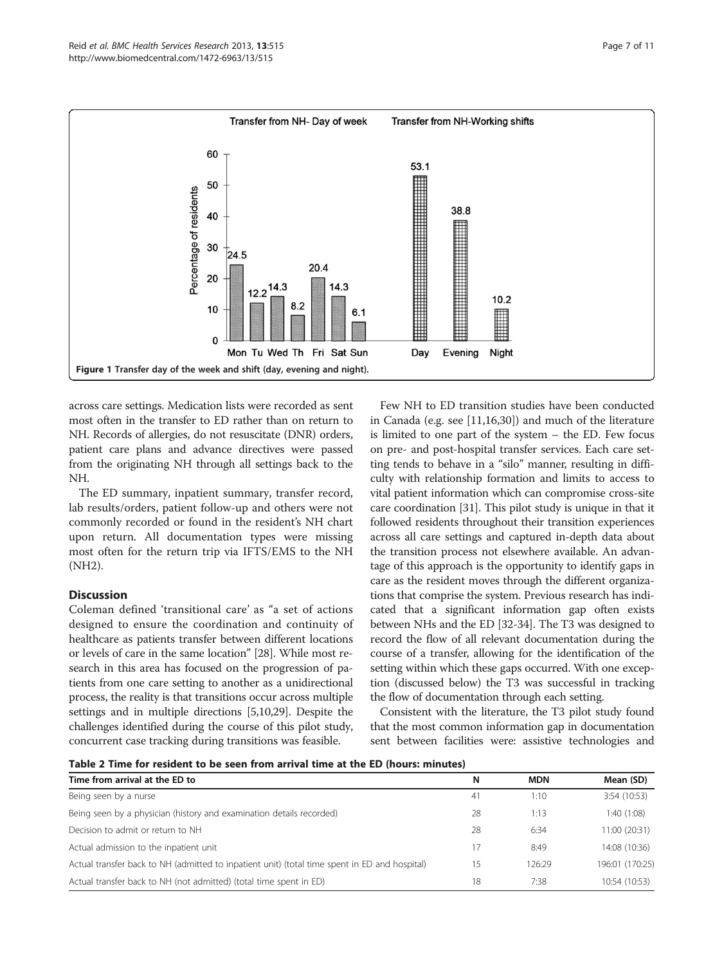<span id="page-6-0"></span>

across care settings. Medication lists were recorded as sent most often in the transfer to ED rather than on return to NH. Records of allergies, do not resuscitate (DNR) orders, patient care plans and advance directives were passed from the originating NH through all settings back to the NH.

The ED summary, inpatient summary, transfer record, lab results/orders, patient follow-up and others were not commonly recorded or found in the resident's NH chart upon return. All documentation types were missing most often for the return trip via IFTS/EMS to the NH (NH2).

## **Discussion**

Coleman defined 'transitional care' as "a set of actions designed to ensure the coordination and continuity of healthcare as patients transfer between different locations or levels of care in the same location" [\[28\]](#page-10-0). While most research in this area has focused on the progression of patients from one care setting to another as a unidirectional process, the reality is that transitions occur across multiple settings and in multiple directions [\[5,10,](#page-9-0)[29](#page-10-0)]. Despite the challenges identified during the course of this pilot study, concurrent case tracking during transitions was feasible.

Few NH to ED transition studies have been conducted in Canada (e.g. see [\[11,16](#page-9-0)[,30](#page-10-0)]) and much of the literature is limited to one part of the system – the ED. Few focus on pre- and post-hospital transfer services. Each care setting tends to behave in a "silo" manner, resulting in difficulty with relationship formation and limits to access to vital patient information which can compromise cross-site care coordination [\[31\]](#page-10-0). This pilot study is unique in that it followed residents throughout their transition experiences across all care settings and captured in-depth data about the transition process not elsewhere available. An advantage of this approach is the opportunity to identify gaps in care as the resident moves through the different organizations that comprise the system. Previous research has indicated that a significant information gap often exists between NHs and the ED [[32](#page-10-0)-[34](#page-10-0)]. The T3 was designed to record the flow of all relevant documentation during the course of a transfer, allowing for the identification of the setting within which these gaps occurred. With one exception (discussed below) the T3 was successful in tracking the flow of documentation through each setting.

Consistent with the literature, the T3 pilot study found that the most common information gap in documentation sent between facilities were: assistive technologies and

Table 2 Time for resident to be seen from arrival time at the ED (hours: minutes)

| Time from arrival at the ED to                                                                | N  | <b>MDN</b> | Mean (SD)       |
|-----------------------------------------------------------------------------------------------|----|------------|-----------------|
| Being seen by a nurse                                                                         | 41 | 1:10       | 3:54 (10:53)    |
| Being seen by a physician (history and examination details recorded)                          | 28 | 1:13       | 1:40 (1:08)     |
| Decision to admit or return to NH                                                             | 28 | 6:34       | 11:00 (20:31)   |
| Actual admission to the inpatient unit                                                        | 17 | 8:49       | 14:08 (10:36)   |
| Actual transfer back to NH (admitted to inpatient unit) (total time spent in ED and hospital) | 15 | 126:29     | 196:01 (170:25) |
| Actual transfer back to NH (not admitted) (total time spent in ED)                            | 18 | 7:38       | 10:54 (10:53)   |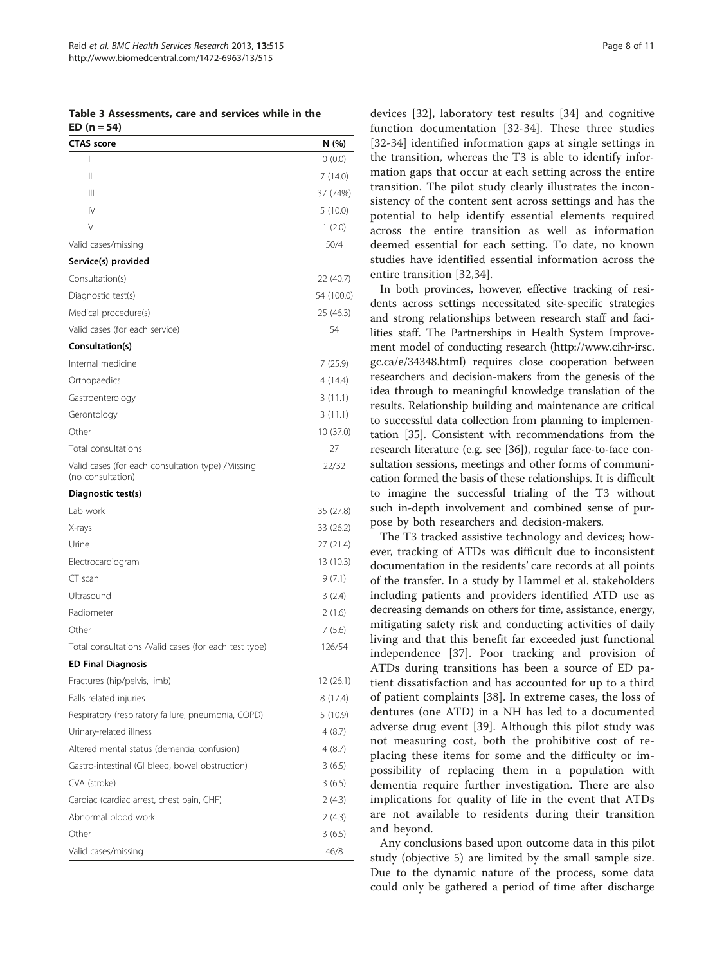<span id="page-7-0"></span>Table 3 Assessments, care and services while in the  $FD (n = 54)$ 

| <b>CTAS</b> score                                                      | N (%)      |
|------------------------------------------------------------------------|------------|
| I                                                                      | 0(0.0)     |
| Ш                                                                      | 7(14.0)    |
| Ш                                                                      | 37 (74%)   |
| $\mathsf{IV}$                                                          | 5(10.0)    |
| V                                                                      | 1(2.0)     |
| Valid cases/missing                                                    | 50/4       |
| Service(s) provided                                                    |            |
| Consultation(s)                                                        | 22 (40.7)  |
| Diagnostic test(s)                                                     | 54 (100.0) |
| Medical procedure(s)                                                   | 25 (46.3)  |
| Valid cases (for each service)                                         | 54         |
| Consultation(s)                                                        |            |
| Internal medicine                                                      | 7 (25.9)   |
| Orthopaedics                                                           | 4 (14.4)   |
| Gastroenterology                                                       | 3(11.1)    |
| Gerontology                                                            | 3(11.1)    |
| Other                                                                  | 10 (37.0)  |
| Total consultations                                                    | 27         |
| Valid cases (for each consultation type) /Missing<br>(no consultation) | 22/32      |
| Diagnostic test(s)                                                     |            |
| Lab work                                                               | 35 (27.8)  |
| X-rays                                                                 | 33 (26.2)  |
| Urine                                                                  | 27 (21.4)  |
| Electrocardiogram                                                      | 13 (10.3)  |
| CT scan                                                                | 9(7.1)     |
| Ultrasound                                                             | 3(2.4)     |
| Radiometer                                                             | 2(1.6)     |
| Other                                                                  | 7(5.6)     |
| Total consultations /Valid cases (for each test type)                  | 126/54     |
| <b>ED Final Diagnosis</b>                                              |            |
| Fractures (hip/pelvis, limb)                                           | 12 (26.1)  |
| Falls related injuries                                                 | 8 (17.4)   |
| Respiratory (respiratory failure, pneumonia, COPD)                     | 5(10.9)    |
| Urinary-related illness                                                | 4(8.7)     |
| Altered mental status (dementia, confusion)                            | 4(8.7)     |
| Gastro-intestinal (GI bleed, bowel obstruction)                        | 3(6.5)     |
| CVA (stroke)                                                           | 3(6.5)     |
| Cardiac (cardiac arrest, chest pain, CHF)                              | 2(4.3)     |
| Abnormal blood work                                                    | 2(4.3)     |
| Other                                                                  | 3(6.5)     |
| Valid cases/missing                                                    | 46/8       |

devices [\[32](#page-10-0)], laboratory test results [[34\]](#page-10-0) and cognitive function documentation [\[32-34](#page-10-0)]. These three studies [[32](#page-10-0)-[34\]](#page-10-0) identified information gaps at single settings in the transition, whereas the T3 is able to identify information gaps that occur at each setting across the entire transition. The pilot study clearly illustrates the inconsistency of the content sent across settings and has the potential to help identify essential elements required across the entire transition as well as information deemed essential for each setting. To date, no known studies have identified essential information across the entire transition [[32,34](#page-10-0)].

In both provinces, however, effective tracking of residents across settings necessitated site-specific strategies and strong relationships between research staff and facilities staff. The Partnerships in Health System Improvement model of conducting research ([http://www.cihr-irsc.](http://www.cihr-irsc.gc.ca/e/34348.html) [gc.ca/e/34348.html](http://www.cihr-irsc.gc.ca/e/34348.html)) requires close cooperation between researchers and decision-makers from the genesis of the idea through to meaningful knowledge translation of the results. Relationship building and maintenance are critical to successful data collection from planning to implementation [[35](#page-10-0)]. Consistent with recommendations from the research literature (e.g. see [[36](#page-10-0)]), regular face-to-face consultation sessions, meetings and other forms of communication formed the basis of these relationships. It is difficult to imagine the successful trialing of the T3 without such in-depth involvement and combined sense of purpose by both researchers and decision-makers.

The T3 tracked assistive technology and devices; however, tracking of ATDs was difficult due to inconsistent documentation in the residents' care records at all points of the transfer. In a study by Hammel et al. stakeholders including patients and providers identified ATD use as decreasing demands on others for time, assistance, energy, mitigating safety risk and conducting activities of daily living and that this benefit far exceeded just functional independence [[37\]](#page-10-0). Poor tracking and provision of ATDs during transitions has been a source of ED patient dissatisfaction and has accounted for up to a third of patient complaints [[38\]](#page-10-0). In extreme cases, the loss of dentures (one ATD) in a NH has led to a documented adverse drug event [\[39](#page-10-0)]. Although this pilot study was not measuring cost, both the prohibitive cost of replacing these items for some and the difficulty or impossibility of replacing them in a population with dementia require further investigation. There are also implications for quality of life in the event that ATDs are not available to residents during their transition and beyond.

Any conclusions based upon outcome data in this pilot study (objective 5) are limited by the small sample size. Due to the dynamic nature of the process, some data could only be gathered a period of time after discharge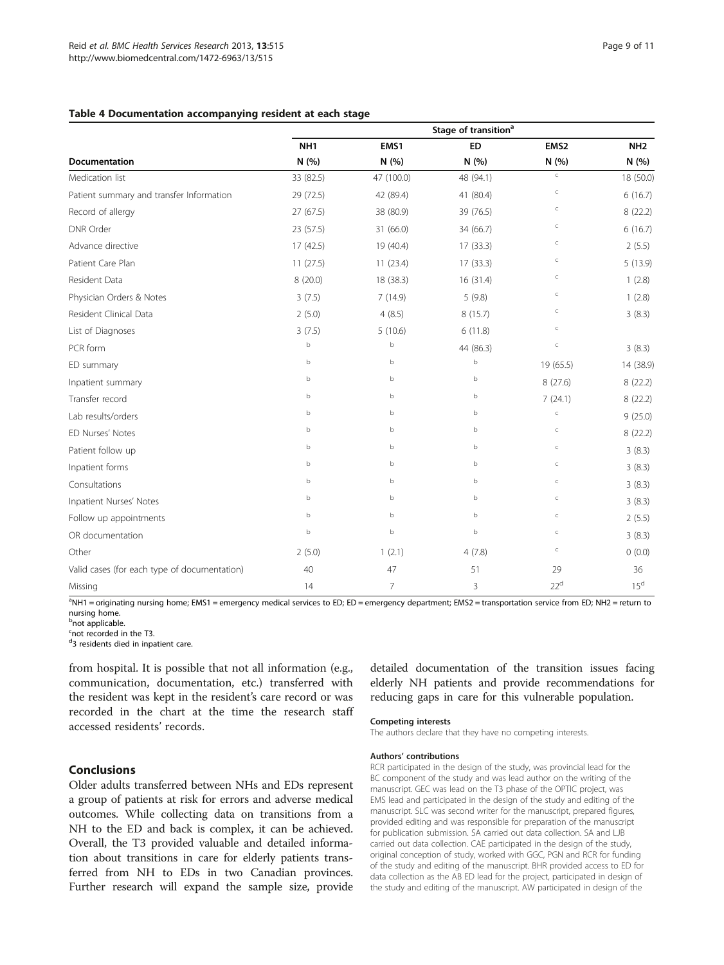<span id="page-8-0"></span>

|                                              | Stage of transition <sup>a</sup> |                |           |                  |                 |
|----------------------------------------------|----------------------------------|----------------|-----------|------------------|-----------------|
|                                              | NH <sub>1</sub>                  | EMS1           | <b>ED</b> | EMS <sub>2</sub> | NH <sub>2</sub> |
| Documentation                                | N(%)                             | N(%)           | N(%)      | N(%)             | N(%)            |
| Medication list                              | 33 (82.5)                        | 47 (100.0)     | 48 (94.1) | $\subset$        | 18 (50.0)       |
| Patient summary and transfer Information     | 29 (72.5)                        | 42 (89.4)      | 41 (80.4) | $\subset$        | 6(16.7)         |
| Record of allergy                            | 27 (67.5)                        | 38 (80.9)      | 39 (76.5) | $\subset$        | 8(22.2)         |
| <b>DNR Order</b>                             | 23 (57.5)                        | 31 (66.0)      | 34 (66.7) | $\subset$        | 6(16.7)         |
| Advance directive                            | 17 (42.5)                        | 19 (40.4)      | 17(33.3)  | $\subset$        | 2(5.5)          |
| Patient Care Plan                            | 11(27.5)                         | 11(23.4)       | 17(33.3)  | $\subset$        | 5(13.9)         |
| Resident Data                                | 8(20.0)                          | 18 (38.3)      | 16(31.4)  | $\subset$        | 1(2.8)          |
| Physician Orders & Notes                     | 3(7.5)                           | 7(14.9)        | 5(9.8)    | $\subset$        | 1(2.8)          |
| Resident Clinical Data                       | 2(5.0)                           | 4(8.5)         | 8(15.7)   | $\subset$        | 3(8.3)          |
| List of Diagnoses                            | 3(7.5)                           | 5(10.6)        | 6(11.8)   | $\subset$        |                 |
| PCR form                                     | $\mathbf b$                      | b              | 44 (86.3) | $\subset$        | 3(8.3)          |
| ED summary                                   | $\mathbf b$                      | b              | b         | 19 (65.5)        | 14 (38.9)       |
| Inpatient summary                            | b                                | b              | b         | 8(27.6)          | 8(22.2)         |
| Transfer record                              | b                                | b              | b         | 7(24.1)          | 8(22.2)         |
| Lab results/orders                           | $\mathbf b$                      | b              | b         | $\subset$        | 9(25.0)         |
| ED Nurses' Notes                             | b                                | b              | b         | $\subset$        | 8 (22.2)        |
| Patient follow up                            | b                                | b              | b         | $\subset$        | 3(8.3)          |
| Inpatient forms                              | b                                | b              | b         | $\subset$        | 3(8.3)          |
| Consultations                                | b                                | b              | b         | $\subset$        | 3(8.3)          |
| Inpatient Nurses' Notes                      | b                                | b              | b         | $\subset$        | 3(8.3)          |
| Follow up appointments                       | b                                | b              | b         | $\subset$        | 2(5.5)          |
| OR documentation                             | $\mathbf b$                      | b              | b         | $\subset$        | 3(8.3)          |
| Other                                        | 2(5.0)                           | 1(2.1)         | 4(7.8)    | $\subset$        | 0(0.0)          |
| Valid cases (for each type of documentation) | 40                               | 47             | 51        | 29               | 36              |
| Missing                                      | 14                               | $\overline{7}$ | 3         | 22 <sup>d</sup>  | $15^d$          |

<sup>a</sup>NH1 = originating nursing home; EMS1 = emergency medical services to ED; ED = emergency department; EMS2 = transportation service from ED; NH2 = return to nursing home.

<sup>b</sup>not applicable.

<sup>c</sup>not recorded in the T3.

<sup>d</sup>3 residents died in inpatient care.

from hospital. It is possible that not all information (e.g., communication, documentation, etc.) transferred with the resident was kept in the resident's care record or was recorded in the chart at the time the research staff accessed residents' records.

detailed documentation of the transition issues facing elderly NH patients and provide recommendations for reducing gaps in care for this vulnerable population.

## Competing interests

The authors declare that they have no competing interests.

#### Authors' contributions

RCR participated in the design of the study, was provincial lead for the BC component of the study and was lead author on the writing of the manuscript. GEC was lead on the T3 phase of the OPTIC project, was EMS lead and participated in the design of the study and editing of the manuscript. SLC was second writer for the manuscript, prepared figures, provided editing and was responsible for preparation of the manuscript for publication submission. SA carried out data collection. SA and LJB carried out data collection. CAE participated in the design of the study, original conception of study, worked with GGC, PGN and RCR for funding of the study and editing of the manuscript. BHR provided access to ED for data collection as the AB ED lead for the project, participated in design of the study and editing of the manuscript. AW participated in design of the

## **Conclusions**

Older adults transferred between NHs and EDs represent a group of patients at risk for errors and adverse medical outcomes. While collecting data on transitions from a NH to the ED and back is complex, it can be achieved. Overall, the T3 provided valuable and detailed information about transitions in care for elderly patients transferred from NH to EDs in two Canadian provinces. Further research will expand the sample size, provide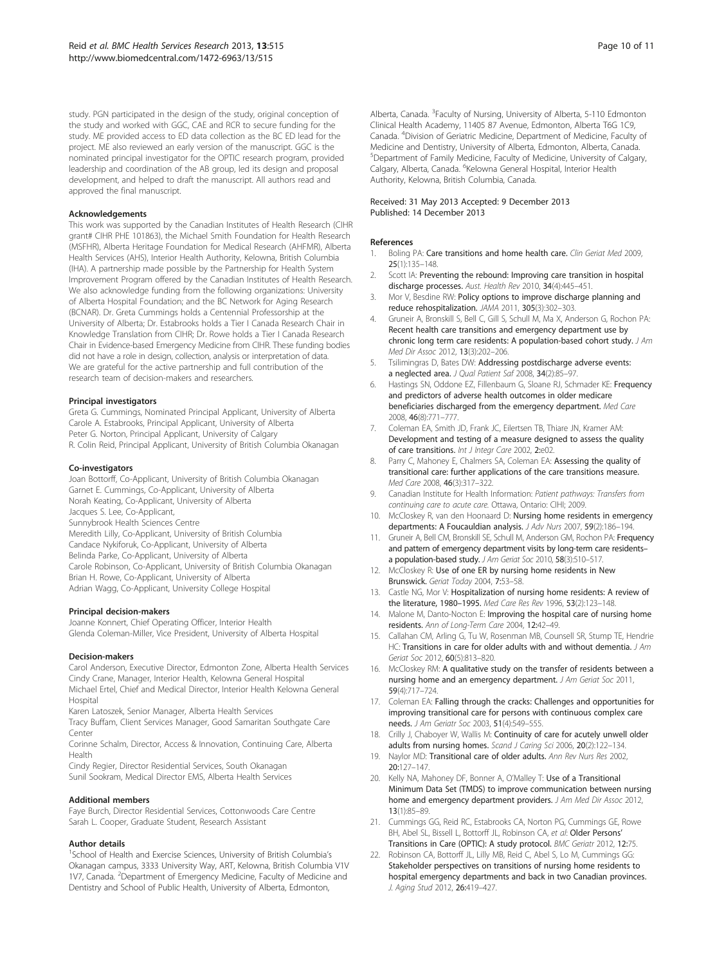<span id="page-9-0"></span>study. PGN participated in the design of the study, original conception of the study and worked with GGC, CAE and RCR to secure funding for the study. ME provided access to ED data collection as the BC ED lead for the project. ME also reviewed an early version of the manuscript. GGC is the nominated principal investigator for the OPTIC research program, provided leadership and coordination of the AB group, led its design and proposal development, and helped to draft the manuscript. All authors read and approved the final manuscript.

#### Acknowledgements

This work was supported by the Canadian Institutes of Health Research (CIHR grant# CIHR PHE 101863), the Michael Smith Foundation for Health Research (MSFHR), Alberta Heritage Foundation for Medical Research (AHFMR), Alberta Health Services (AHS), Interior Health Authority, Kelowna, British Columbia (IHA). A partnership made possible by the Partnership for Health System Improvement Program offered by the Canadian Institutes of Health Research. We also acknowledge funding from the following organizations: University of Alberta Hospital Foundation; and the BC Network for Aging Research (BCNAR). Dr. Greta Cummings holds a Centennial Professorship at the University of Alberta; Dr. Estabrooks holds a Tier I Canada Research Chair in Knowledge Translation from CIHR; Dr. Rowe holds a Tier I Canada Research Chair in Evidence-based Emergency Medicine from CIHR. These funding bodies did not have a role in design, collection, analysis or interpretation of data. We are grateful for the active partnership and full contribution of the research team of decision-makers and researchers.

#### Principal investigators

Greta G. Cummings, Nominated Principal Applicant, University of Alberta Carole A. Estabrooks, Principal Applicant, University of Alberta Peter G. Norton, Principal Applicant, University of Calgary R. Colin Reid, Principal Applicant, University of British Columbia Okanagan

#### Co-investigators

Joan Bottorff, Co-Applicant, University of British Columbia Okanagan Garnet E. Cummings, Co-Applicant, University of Alberta Norah Keating, Co-Applicant, University of Alberta Jacques S. Lee, Co-Applicant, Sunnybrook Health Sciences Centre Meredith Lilly, Co-Applicant, University of British Columbia Candace Nykiforuk, Co-Applicant, University of Alberta Belinda Parke, Co-Applicant, University of Alberta Carole Robinson, Co-Applicant, University of British Columbia Okanagan Brian H. Rowe, Co-Applicant, University of Alberta Adrian Wagg, Co-Applicant, University College Hospital

#### Principal decision-makers

Joanne Konnert, Chief Operating Officer, Interior Health Glenda Coleman-Miller, Vice President, University of Alberta Hospital

#### Decision-makers

Carol Anderson, Executive Director, Edmonton Zone, Alberta Health Services Cindy Crane, Manager, Interior Health, Kelowna General Hospital Michael Ertel, Chief and Medical Director, Interior Health Kelowna General Hospital

Karen Latoszek, Senior Manager, Alberta Health Services

Tracy Buffam, Client Services Manager, Good Samaritan Southgate Care Center

Corinne Schalm, Director, Access & Innovation, Continuing Care, Alberta Health

Cindy Regier, Director Residential Services, South Okanagan Sunil Sookram, Medical Director EMS, Alberta Health Services

#### Additional members

Faye Burch, Director Residential Services, Cottonwoods Care Centre Sarah L. Cooper, Graduate Student, Research Assistant

#### Author details

<sup>1</sup>School of Health and Exercise Sciences, University of British Columbia's Okanagan campus, 3333 University Way, ART, Kelowna, British Columbia V1V 1V7, Canada. <sup>2</sup>Department of Emergency Medicine, Faculty of Medicine and Dentistry and School of Public Health, University of Alberta, Edmonton,

Alberta, Canada. <sup>3</sup>Faculty of Nursing, University of Alberta, 5-110 Edmonton Clinical Health Academy, 11405 87 Avenue, Edmonton, Alberta T6G 1C9, Canada. <sup>4</sup> Division of Geriatric Medicine, Department of Medicine, Faculty of Medicine and Dentistry, University of Alberta, Edmonton, Alberta, Canada. 5 Department of Family Medicine, Faculty of Medicine, University of Calgary, Calgary, Alberta, Canada. <sup>6</sup>Kelowna General Hospital, Interior Health Authority, Kelowna, British Columbia, Canada.

#### Received: 31 May 2013 Accepted: 9 December 2013 Published: 14 December 2013

#### References

- 1. Boling PA: Care transitions and home health care. Clin Geriat Med 2009, 25(1):135–148.
- Scott IA: Preventing the rebound: Improving care transition in hospital discharge processes. Aust. Health Rev 2010, 34(4):445–451.
- 3. Mor V, Besdine RW: Policy options to improve discharge planning and reduce rehospitalization. JAMA 2011, 305(3):302–303.
- 4. Gruneir A, Bronskill S, Bell C, Gill S, Schull M, Ma X, Anderson G, Rochon PA: Recent health care transitions and emergency department use by chronic long term care residents: A population-based cohort study. J Am Med Dir Assoc 2012, 13(3):202–206.
- 5. Tsilimingras D, Bates DW: Addressing postdischarge adverse events: a neglected area. J Qual Patient Saf 2008, 34(2):85–97.
- 6. Hastings SN, Oddone EZ, Fillenbaum G, Sloane RJ, Schmader KE: Frequency and predictors of adverse health outcomes in older medicare beneficiaries discharged from the emergency department. Med Care 2008, 46(8):771–777.
- 7. Coleman EA, Smith JD, Frank JC, Eilertsen TB, Thiare JN, Kramer AM: Development and testing of a measure designed to assess the quality of care transitions. Int J Integr Care 2002, 2:e02.
- 8. Parry C, Mahoney E, Chalmers SA, Coleman EA: Assessing the quality of transitional care: further applications of the care transitions measure. Med Care 2008, 46(3):317–322.
- 9. Canadian Institute for Health Information: Patient pathways: Transfers from continuing care to acute care. Ottawa, Ontario: CIHI; 2009.
- 10. McCloskey R, van den Hoonaard D: Nursing home residents in emergency departments: A Foucauldian analysis. J Adv Nurs 2007, 59(2):186-194.
- 11. Gruneir A, Bell CM, Bronskill SE, Schull M, Anderson GM, Rochon PA: Frequency and pattern of emergency department visits by long-term care residents– a population-based study. J Am Geriat Soc 2010, 58(3):510–517.
- 12. McCloskey R: Use of one ER by nursing home residents in New Brunswick. Geriat Today 2004, 7:53–58.
- 13. Castle NG, Mor V: Hospitalization of nursing home residents: A review of the literature, 1980–1995. Med Care Res Rev 1996, 53(2):123–148.
- 14. Malone M, Danto-Nocton E: Improving the hospital care of nursing home residents. Ann of Long-Term Care 2004, 12:42–49.
- 15. Callahan CM, Arling G, Tu W, Rosenman MB, Counsell SR, Stump TE, Hendrie HC: Transitions in care for older adults with and without dementia. J Am Geriat Soc 2012, 60(5):813–820.
- 16. McCloskey RM: A qualitative study on the transfer of residents between a nursing home and an emergency department. J Am Geriat Soc 2011, 59(4):717–724.
- 17. Coleman EA: Falling through the cracks: Challenges and opportunities for improving transitional care for persons with continuous complex care needs. J Am Geriatr Soc 2003, 51(4):549–555.
- 18. Crilly J, Chaboyer W, Wallis M: Continuity of care for acutely unwell older adults from nursing homes. Scand J Caring Sci 2006, 20(2):122-134.
- 19. Naylor MD: Transitional care of older adults. Ann Rev Nurs Res 2002, 20:127–147.
- 20. Kelly NA, Mahoney DF, Bonner A, O'Malley T: Use of a Transitional Minimum Data Set (TMDS) to improve communication between nursing home and emergency department providers. J Am Med Dir Assoc 2012, 13(1):85–89.
- 21. Cummings GG, Reid RC, Estabrooks CA, Norton PG, Cummings GE, Rowe BH, Abel SL, Bissell L, Bottorff JL, Robinson CA, et al: Older Persons' Transitions in Care (OPTIC): A study protocol. BMC Geriatr 2012, 12:75.
- 22. Robinson CA, Bottorff JL, Lilly MB, Reid C, Abel S, Lo M, Cummings GG: Stakeholder perspectives on transitions of nursing home residents to hospital emergency departments and back in two Canadian provinces. J. Aging Stud 2012, 26:419–427.